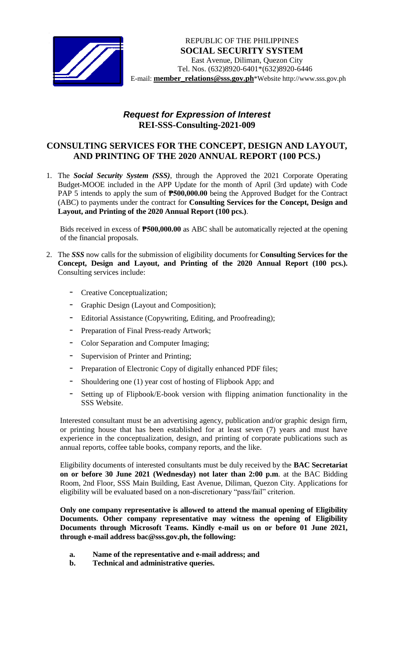

## *Request for Expression of Interest*  **REI-SSS-Consulting-2021-009**

## **CONSULTING SERVICES FOR THE CONCEPT, DESIGN AND LAYOUT, AND PRINTING OF THE 2020 ANNUAL REPORT (100 PCS.)**

1. The *Social Security System (SSS)*, through the Approved the 2021 Corporate Operating Budget-MOOE included in the APP Update for the month of April (3rd update) with Code PAP 5 intends to apply the sum of **P500,000.00** being the Approved Budget for the Contract (ABC) to payments under the contract for **Consulting Services for the Concept, Design and Layout, and Printing of the 2020 Annual Report (100 pcs.)**.

Bids received in excess of **₱500,000.00** as ABC shall be automatically rejected at the opening of the financial proposals.

- 2. The *SSS* now calls for the submission of eligibility documents for **Consulting Services for the Concept, Design and Layout, and Printing of the 2020 Annual Report (100 pcs.).**  Consulting services include:
	- Creative Conceptualization;
	- Graphic Design (Layout and Composition);
	- Editorial Assistance (Copywriting, Editing, and Proofreading);
	- Preparation of Final Press-ready Artwork;
	- Color Separation and Computer Imaging;
	- Supervision of Printer and Printing;
	- Preparation of Electronic Copy of digitally enhanced PDF files;
	- Shouldering one (1) year cost of hosting of Flipbook App; and
	- Setting up of Flipbook/E-book version with flipping animation functionality in the SSS Website.

Interested consultant must be an advertising agency, publication and/or graphic design firm, or printing house that has been established for at least seven (7) years and must have experience in the conceptualization, design, and printing of corporate publications such as annual reports, coffee table books, company reports, and the like.

Eligibility documents of interested consultants must be duly received by the **BAC Secretariat on or before 30 June 2021 (Wednesday) not later than 2:00 p.m**. at the BAC Bidding Room, 2nd Floor, SSS Main Building, East Avenue, Diliman, Quezon City. Applications for eligibility will be evaluated based on a non-discretionary "pass/fail" criterion.

**Only one company representative is allowed to attend the manual opening of Eligibility Documents. Other company representative may witness the opening of Eligibility Documents through Microsoft Teams. Kindly e-mail us on or before 01 June 2021, through e-mail address bac@sss.gov.ph, the following:**

- **a. Name of the representative and e-mail address; and**
- **b. Technical and administrative queries.**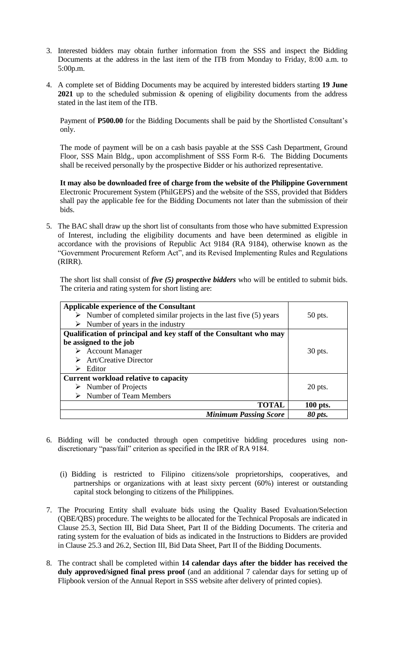- 3. Interested bidders may obtain further information from the SSS and inspect the Bidding Documents at the address in the last item of the ITB from Monday to Friday, 8:00 a.m. to 5:00p.m.
- 4. A complete set of Bidding Documents may be acquired by interested bidders starting **19 June 2021** up to the scheduled submission & opening of eligibility documents from the address stated in the last item of the ITB.

Payment of **P500.00** for the Bidding Documents shall be paid by the Shortlisted Consultant's only.

The mode of payment will be on a cash basis payable at the SSS Cash Department, Ground Floor, SSS Main Bldg., upon accomplishment of SSS Form R-6. The Bidding Documents shall be received personally by the prospective Bidder or his authorized representative.

**It may also be downloaded free of charge from the website of the Philippine Government** Electronic Procurement System (PhilGEPS) and the website of the SSS*,* provided that Bidders shall pay the applicable fee for the Bidding Documents not later than the submission of their bids.

5. The BAC shall draw up the short list of consultants from those who have submitted Expression of Interest, including the eligibility documents and have been determined as eligible in accordance with the provisions of Republic Act 9184 (RA 9184), otherwise known as the "Government Procurement Reform Act", and its Revised Implementing Rules and Regulations (RIRR).

The short list shall consist of *five (5) prospective bidders* who will be entitled to submit bids. The criteria and rating system for short listing are:

| <b>Applicable experience of the Consultant</b><br>$\triangleright$ Number of completed similar projects in the last five (5) years<br>Number of years in the industry<br>➤ | $50$ pts. |
|----------------------------------------------------------------------------------------------------------------------------------------------------------------------------|-----------|
| Qualification of principal and key staff of the Consultant who may                                                                                                         |           |
| be assigned to the job                                                                                                                                                     |           |
| <b>Account Manager</b>                                                                                                                                                     | 30 pts.   |
| <b>Art/Creative Director</b>                                                                                                                                               |           |
| Editor<br>➤                                                                                                                                                                |           |
| <b>Current workload relative to capacity</b>                                                                                                                               |           |
| $\triangleright$ Number of Projects                                                                                                                                        | $20$ pts. |
| Number of Team Members                                                                                                                                                     |           |
| TOTAL                                                                                                                                                                      | 100 pts.  |
| <b>Minimum Passing Score</b>                                                                                                                                               | 80 pts.   |

- 6. Bidding will be conducted through open competitive bidding procedures using nondiscretionary "pass/fail" criterion as specified in the IRR of RA 9184.
	- (i) Bidding is restricted to Filipino citizens/sole proprietorships, cooperatives, and partnerships or organizations with at least sixty percent (60%) interest or outstanding capital stock belonging to citizens of the Philippines.
- 7. The Procuring Entity shall evaluate bids using the Quality Based Evaluation/Selection (QBE/QBS) procedure. The weights to be allocated for the Technical Proposals are indicated in Clause 25.3, Section III, Bid Data Sheet, Part II of the Bidding Documents. The criteria and rating system for the evaluation of bids as indicated in the Instructions to Bidders are provided in Clause 25.3 and 26.2, Section III, Bid Data Sheet, Part II of the Bidding Documents.
- 8. The contract shall be completed within **14 calendar days after the bidder has received the duly approved/signed final press proof** (and an additional 7 calendar days for setting up of Flipbook version of the Annual Report in SSS website after delivery of printed copies).